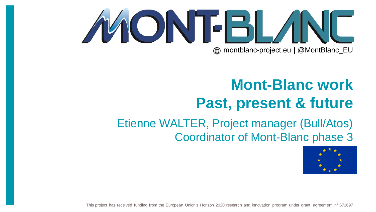# MONTELAND **external montblanc-project.eu | @MontBlanc\_EU**

# **Mont-Blanc work Past, present & future**

### Etienne WALTER, Project manager (Bull/Atos) Coordinator of Mont-Blanc phase 3



This project has received funding from the European Union's Horizon 2020 research and innovation program under grant agreement n° 671697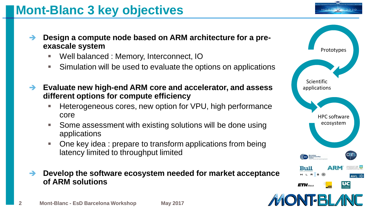**Mont-Blanc 3 key objectives**

- **Design a compute node based on ARM architecture for a preexascale system**
	- Well balanced : Memory, Interconnect, IO
	- Simulation will be used to evaluate the options on applications
- **Evaluate new high-end ARM core and accelerator, and assess different options for compute efficiency**
	- Heterogeneous cores, new option for VPU, high performance core
	- Some assessment with existing solutions will be done using applications
	- One key idea : prepare to transform applications from being latency limited to throughput limited
- **Develop the software ecosystem needed for market acceptance of ARM solutions**

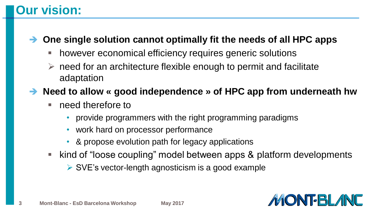### **Our vision:**

#### **One single solution cannot optimally fit the needs of all HPC apps**

- **however economical efficiency requires generic solutions**
- $\triangleright$  need for an architecture flexible enough to permit and facilitate adaptation
- **Need to allow « good independence » of HPC app from underneath hw**
	- need therefore to
		- provide programmers with the right programming paradigms
		- work hard on processor performance
		- & propose evolution path for legacy applications
	- kind of "loose coupling" model between apps & platform developments
		- $\triangleright$  SVE's vector-length agnosticism is a good example

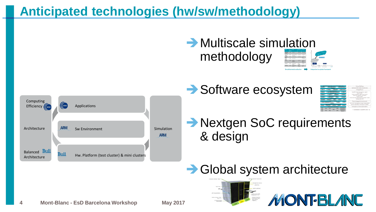### **Anticipated technologies (hw/sw/methodology)**



### $\rightarrow$  Multiscale simulation methodology



| <b>And are house that I dividend the Tarbon and</b><br>of anderstone<br><b>Ministerio di contro</b><br>Envalo<br><b>Company</b>        | <b>Partia PG Flang</b><br>Oxtevised ARM mathematics libraries.                                         |
|----------------------------------------------------------------------------------------------------------------------------------------|--------------------------------------------------------------------------------------------------------|
| <b>ACC</b><br><b>IN</b><br><b>Pullway</b><br><b>Menturiant</b>                                                                         | diama BAA/14/1                                                                                         |
| <b><i><b>Garde Daviso</b></i></b><br><b>LAM Matterhalls Silvanies</b><br><b>ALL</b><br><b>KLA</b>                                      | <b>Selectionhous</b> 4.6                                                                               |
| <b><i><u>Instrumento da </u></i></b><br><b>Extrac</b><br><b>All Even</b><br>n.                                                         | Instruments<br>"N1 / "weaklift contactorations                                                         |
| <b>Charles monitoring</b><br>511,695<br>tereta                                                                                         | <b>Darlins TimySEN</b><br>One/vs.and<br>communications tomouthful, currilling                          |
| <b>Busting Unider</b>                                                                                                                  | Transitional makers AdM.                                                                               |
| <b>Handarons</b> General<br><b>BES</b><br><b>Preser management</b><br>Lastre<br><b>DUTT</b>                                            | <b>County</b><br>Person reargamental insurancements<br>Linux kernel helenoperacus support improvements |
| <b>Inch Instead Income</b><br>Libra with<br><b>Stand</b><br>Orients.<br><b>Service</b>                                                 | and in<br><b>CARD CAY-SAFE</b><br><b>Liviano</b>                                                       |
| <b>Frankrithmen Hollands</b><br><b>CALL</b><br><b>Accessive Man</b>                                                                    | Matermanance desire and firstness                                                                      |
| <b>SEL</b><br><b>CRU</b><br>CPU<br>$\sim$<br>Accompany<br>æи<br>Acceleration<br><b>STATISTICS</b><br><b>STATISTICS</b><br><b>STATE</b> | + Contribution to OpenHPC (from 1.2)                                                                   |

**DNT-BL/INC** 

- **Nextgen SoC requirements** & design
- **→ Global system architecture**

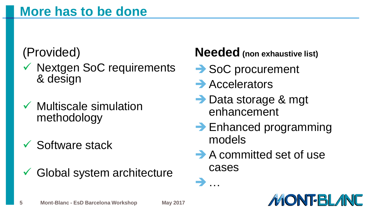# (Provided)

- $\checkmark$  Nextgen SoC requirements & design
- $\checkmark$  Multiscale simulation methodology
- $\checkmark$  Software stack
- $\checkmark$  Global system architecture

### **Needed (non exhaustive list)**

- **→ SoC procurement**
- $\rightarrow$  Accelerators
- Data storage & mgt enhancement
- $\rightarrow$  Enhanced programming models
- A committed set of use cases



…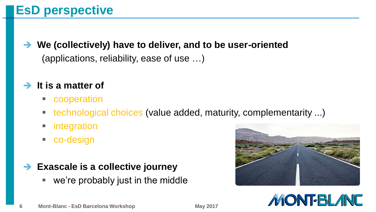### **EsD perspective**

 **We (collectively) have to deliver, and to be user-oriented**  (applications, reliability, ease of use …)

#### **→ It is a matter of**

- **E** cooperation
- **technological choices (value added, maturity, complementarity ...)**
- integration
- co-design

#### **Exascale is a collective journey**

we're probably just in the middle



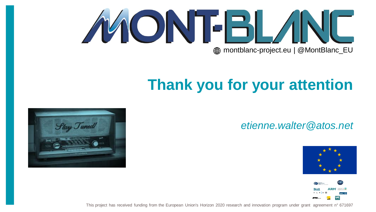

# **Thank you for your attention**

#### *etienne.walter@atos.net*





This project has received funding from the European Union's Horizon 2020 research and innovation program under grant agreement n° 671697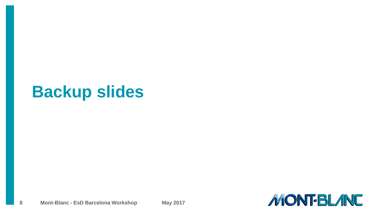# **Backup slides**

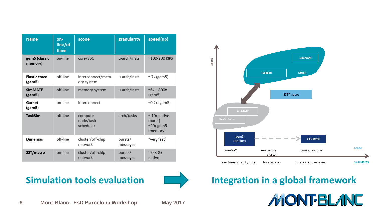| <b>Name</b>                    | on-<br>line/of<br>fline | scope                             | granularity         | speed(up)                                                      |
|--------------------------------|-------------------------|-----------------------------------|---------------------|----------------------------------------------------------------|
| gem5 (classic<br>memory)       | on-line                 | core/SoC                          | u-arch/insts        | ~100-200 KIPS                                                  |
| <b>Elastic trace</b><br>(gem5) | off-line                | interconnect/mem<br>ory system    | u-arch/insts        | $\sim$ 7x (gem5)                                               |
| <b>SimMATE</b><br>(gem5)       | off-line                | memory system                     | u-arch/insts        | $~6x - 800x$<br>(gem5)                                         |
| Garnet<br>(gem5)               | on-line                 | interconnect                      |                     | $^{\sim}$ 0.2x (gem5)                                          |
| <b>TaskSim</b>                 | off-line                | compute<br>node/task<br>scheduler | arch/tasks          | $\sim$ 10x native<br>(burst)<br>$^{\sim}20x$ gem 5<br>(memory) |
| <b>Dimemas</b>                 | off-line                | cluster/off-chip<br>network       | bursts/<br>messages | "very fast"                                                    |
| SST/macro                      | on-line                 | cluster/off-chip<br>network       | bursts/<br>messages | $~^{\circ}$ 0.3-3x<br>native                                   |







#### **Simulation tools evaluation Integration in a global framework**

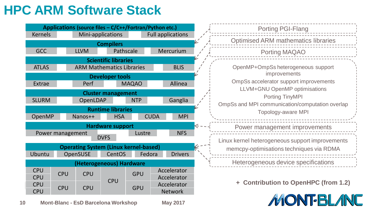### **HPC ARM Software Stack**



**10 Mont-Blanc - EsD Barcelona Workshop May 2017**